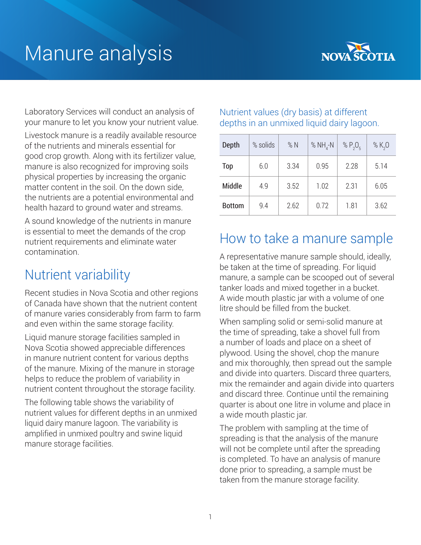# Manure analysis



Laboratory Services will conduct an analysis of your manure to let you know your nutrient value.

Livestock manure is a readily available resource of the nutrients and minerals essential for good crop growth. Along with its fertilizer value, manure is also recognized for improving soils physical properties by increasing the organic matter content in the soil. On the down side, the nutrients are a potential environmental and health hazard to ground water and streams.

A sound knowledge of the nutrients in manure is essential to meet the demands of the crop nutrient requirements and eliminate water contamination.

#### Nutrient variability

Recent studies in Nova Scotia and other regions of Canada have shown that the nutrient content of manure varies considerably from farm to farm and even within the same storage facility.

Liquid manure storage facilities sampled in Nova Scotia showed appreciable differences in manure nutrient content for various depths of the manure. Mixing of the manure in storage helps to reduce the problem of variability in nutrient content throughout the storage facility.

The following table shows the variability of nutrient values for different depths in an unmixed liquid dairy manure lagoon. The variability is amplified in unmixed poultry and swine liquid manure storage facilities.

#### Nutrient values (dry basis) at different depths in an unmixed liquid dairy lagoon.

| Depth         | % solids | $%$ N | % $NH_{4}$ -N | % $P_2O_5$ | % $K_{2}O$ |
|---------------|----------|-------|---------------|------------|------------|
| Top           | 6.0      | 3.34  | 0.95          | 2.28       | 5.14       |
| <b>Middle</b> | 4.9      | 3.52  | 1.02          | 2.31       | 6.05       |
| <b>Bottom</b> | 9.4      | 2.62  | 0.72          | 1.81       | 3.62       |

#### How to take a manure sample

A representative manure sample should, ideally, be taken at the time of spreading. For liquid manure, a sample can be scooped out of several tanker loads and mixed together in a bucket. A wide mouth plastic jar with a volume of one litre should be filled from the bucket.

When sampling solid or semi-solid manure at the time of spreading, take a shovel full from a number of loads and place on a sheet of plywood. Using the shovel, chop the manure and mix thoroughly, then spread out the sample and divide into quarters. Discard three quarters, mix the remainder and again divide into quarters and discard three. Continue until the remaining quarter is about one litre in volume and place in a wide mouth plastic jar.

The problem with sampling at the time of spreading is that the analysis of the manure will not be complete until after the spreading is completed. To have an analysis of manure done prior to spreading, a sample must be taken from the manure storage facility.